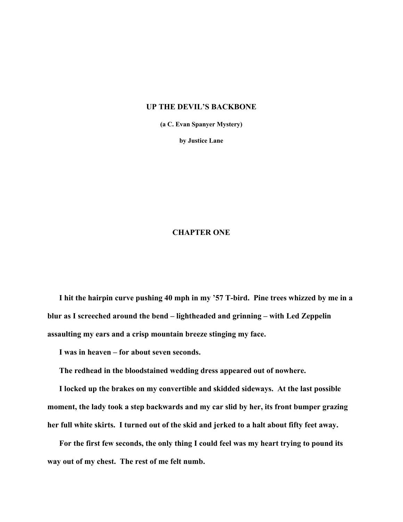## **UP THE DEVIL'S BACKBONE**

**(a C. Evan Spanyer Mystery)** 

**by Justice Lane** 

## **CHAPTER ONE**

**I hit the hairpin curve pushing 40 mph in my '57 T-bird. Pine trees whizzed by me in a blur as I screeched around the bend – lightheaded and grinning – with Led Zeppelin assaulting my ears and a crisp mountain breeze stinging my face.** 

**I was in heaven – for about seven seconds.** 

**The redhead in the bloodstained wedding dress appeared out of nowhere.** 

**I locked up the brakes on my convertible and skidded sideways. At the last possible moment, the lady took a step backwards and my car slid by her, its front bumper grazing her full white skirts. I turned out of the skid and jerked to a halt about fifty feet away.** 

**For the first few seconds, the only thing I could feel was my heart trying to pound its way out of my chest. The rest of me felt numb.**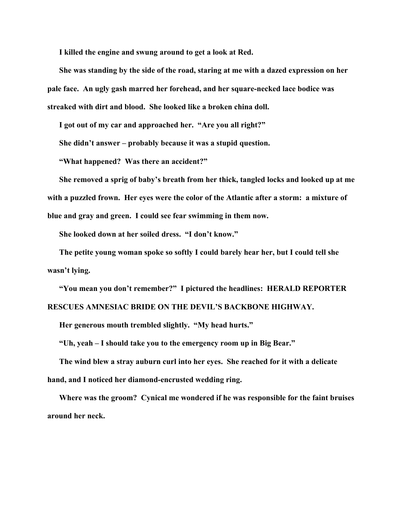**I killed the engine and swung around to get a look at Red.** 

**She was standing by the side of the road, staring at me with a dazed expression on her pale face. An ugly gash marred her forehead, and her square-necked lace bodice was streaked with dirt and blood. She looked like a broken china doll.** 

**I got out of my car and approached her. "Are you all right?"** 

**She didn't answer – probably because it was a stupid question.** 

**"What happened? Was there an accident?"** 

**She removed a sprig of baby's breath from her thick, tangled locks and looked up at me with a puzzled frown. Her eyes were the color of the Atlantic after a storm: a mixture of blue and gray and green. I could see fear swimming in them now.** 

**She looked down at her soiled dress. "I don't know."** 

**The petite young woman spoke so softly I could barely hear her, but I could tell she wasn't lying.** 

**"You mean you don't remember?" I pictured the headlines: HERALD REPORTER RESCUES AMNESIAC BRIDE ON THE DEVIL'S BACKBONE HIGHWAY.** 

**Her generous mouth trembled slightly. "My head hurts."** 

**"Uh, yeah – I should take you to the emergency room up in Big Bear."** 

**The wind blew a stray auburn curl into her eyes. She reached for it with a delicate hand, and I noticed her diamond-encrusted wedding ring.** 

**Where was the groom? Cynical me wondered if he was responsible for the faint bruises around her neck.**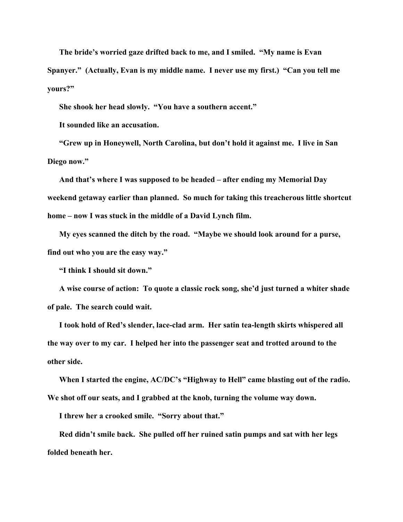**The bride's worried gaze drifted back to me, and I smiled. "My name is Evan Spanyer." (Actually, Evan is my middle name. I never use my first.) "Can you tell me yours?"** 

**She shook her head slowly. "You have a southern accent."** 

**It sounded like an accusation.** 

**"Grew up in Honeywell, North Carolina, but don't hold it against me. I live in San Diego now."** 

**And that's where I was supposed to be headed – after ending my Memorial Day weekend getaway earlier than planned. So much for taking this treacherous little shortcut home – now I was stuck in the middle of a David Lynch film.** 

**My eyes scanned the ditch by the road. "Maybe we should look around for a purse, find out who you are the easy way."** 

**"I think I should sit down."** 

**A wise course of action: To quote a classic rock song, she'd just turned a whiter shade of pale. The search could wait.** 

**I took hold of Red's slender, lace-clad arm. Her satin tea-length skirts whispered all the way over to my car. I helped her into the passenger seat and trotted around to the other side.** 

**When I started the engine, AC/DC's "Highway to Hell" came blasting out of the radio. We shot off our seats, and I grabbed at the knob, turning the volume way down.** 

**I threw her a crooked smile. "Sorry about that."** 

**Red didn't smile back. She pulled off her ruined satin pumps and sat with her legs folded beneath her.**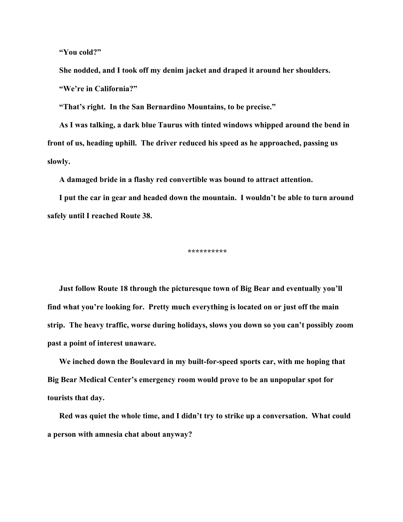**"You cold?"** 

**She nodded, and I took off my denim jacket and draped it around her shoulders. "We're in California?"** 

**"That's right. In the San Bernardino Mountains, to be precise."** 

**As I was talking, a dark blue Taurus with tinted windows whipped around the bend in front of us, heading uphill. The driver reduced his speed as he approached, passing us slowly.** 

**A damaged bride in a flashy red convertible was bound to attract attention.** 

**I put the car in gear and headed down the mountain. I wouldn't be able to turn around safely until I reached Route 38.** 

**\*\*\*\*\*\*\*\*\*\*** 

**Just follow Route 18 through the picturesque town of Big Bear and eventually you'll find what you're looking for. Pretty much everything is located on or just off the main strip. The heavy traffic, worse during holidays, slows you down so you can't possibly zoom past a point of interest unaware.** 

**We inched down the Boulevard in my built-for-speed sports car, with me hoping that Big Bear Medical Center's emergency room would prove to be an unpopular spot for tourists that day.** 

**Red was quiet the whole time, and I didn't try to strike up a conversation. What could a person with amnesia chat about anyway?**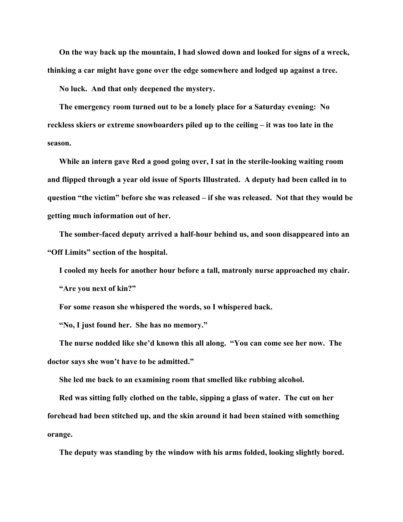**On the way back up the mountain, I had slowed down and looked for signs of a wreck, thinking a car might have gone over the edge somewhere and lodged up against a tree.** 

**No luck. And that only deepened the mystery.** 

**The emergency room turned out to be a lonely place for a Saturday evening: No reckless skiers or extreme snowboarders piled up to the ceiling – it was too late in the season.** 

**While an intern gave Red a good going over, I sat in the sterile-looking waiting room and flipped through a year old issue of Sports Illustrated. A deputy had been called in to question "the victim" before she was released – if she was released. Not that they would be getting much information out of her.** 

**The somber-faced deputy arrived a half-hour behind us, and soon disappeared into an "Off Limits" section of the hospital.** 

**I cooled my heels for another hour before a tall, matronly nurse approached my chair. "Are you next of kin?"** 

**For some reason she whispered the words, so I whispered back.** 

**"No, I just found her. She has no memory."** 

**The nurse nodded like she'd known this all along. "You can come see her now. The doctor says she won't have to be admitted."** 

**She led me back to an examining room that smelled like rubbing alcohol.** 

**Red was sitting fully clothed on the table, sipping a glass of water. The cut on her forehead had been stitched up, and the skin around it had been stained with something orange.** 

**The deputy was standing by the window with his arms folded, looking slightly bored.**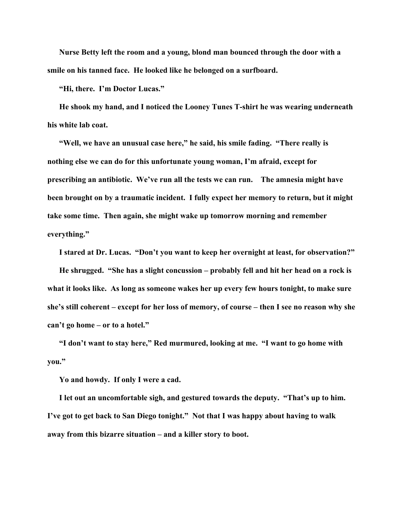**Nurse Betty left the room and a young, blond man bounced through the door with a smile on his tanned face. He looked like he belonged on a surfboard.** 

**"Hi, there. I'm Doctor Lucas."** 

**He shook my hand, and I noticed the Looney Tunes T-shirt he was wearing underneath his white lab coat.** 

**"Well, we have an unusual case here," he said, his smile fading. "There really is nothing else we can do for this unfortunate young woman, I'm afraid, except for prescribing an antibiotic. We've run all the tests we can run. The amnesia might have been brought on by a traumatic incident. I fully expect her memory to return, but it might take some time. Then again, she might wake up tomorrow morning and remember everything."** 

**I stared at Dr. Lucas. "Don't you want to keep her overnight at least, for observation?" He shrugged. "She has a slight concussion – probably fell and hit her head on a rock is what it looks like. As long as someone wakes her up every few hours tonight, to make sure she's still coherent – except for her loss of memory, of course – then I see no reason why she can't go home – or to a hotel."** 

**"I don't want to stay here," Red murmured, looking at me. "I want to go home with you."** 

**Yo and howdy. If only I were a cad.** 

**I let out an uncomfortable sigh, and gestured towards the deputy. "That's up to him. I've got to get back to San Diego tonight." Not that I was happy about having to walk away from this bizarre situation – and a killer story to boot.**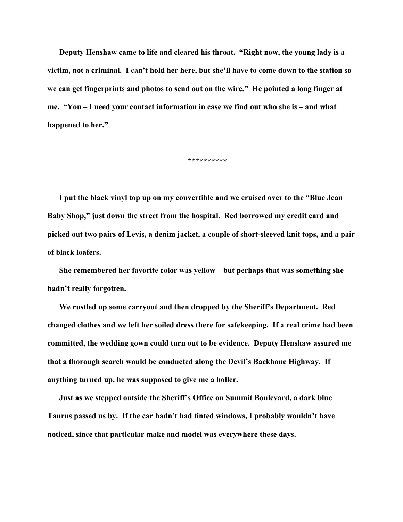**Deputy Henshaw came to life and cleared his throat. "Right now, the young lady is a victim, not a criminal. I can't hold her here, but she'll have to come down to the station so we can get fingerprints and photos to send out on the wire." He pointed a long finger at me. "You – I need your contact information in case we find out who she is – and what happened to her."** 

**\*\*\*\*\*\*\*\*\*\*** 

**I put the black vinyl top up on my convertible and we cruised over to the "Blue Jean Baby Shop," just down the street from the hospital. Red borrowed my credit card and picked out two pairs of Levis, a denim jacket, a couple of short-sleeved knit tops, and a pair of black loafers.** 

**She remembered her favorite color was yellow – but perhaps that was something she hadn't really forgotten.** 

**We rustled up some carryout and then dropped by the Sheriff's Department. Red changed clothes and we left her soiled dress there for safekeeping. If a real crime had been committed, the wedding gown could turn out to be evidence. Deputy Henshaw assured me that a thorough search would be conducted along the Devil's Backbone Highway. If anything turned up, he was supposed to give me a holler.** 

**Just as we stepped outside the Sheriff's Office on Summit Boulevard, a dark blue Taurus passed us by. If the car hadn't had tinted windows, I probably wouldn't have noticed, since that particular make and model was everywhere these days.**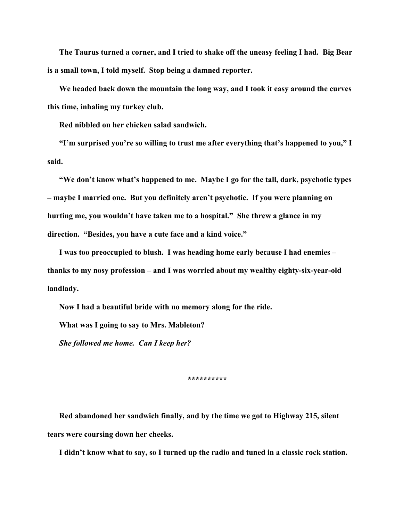**The Taurus turned a corner, and I tried to shake off the uneasy feeling I had. Big Bear is a small town, I told myself. Stop being a damned reporter.** 

**We headed back down the mountain the long way, and I took it easy around the curves this time, inhaling my turkey club.** 

**Red nibbled on her chicken salad sandwich.** 

**"I'm surprised you're so willing to trust me after everything that's happened to you," I said.** 

**"We don't know what's happened to me. Maybe I go for the tall, dark, psychotic types – maybe I married one. But you definitely aren't psychotic. If you were planning on hurting me, you wouldn't have taken me to a hospital." She threw a glance in my direction. "Besides, you have a cute face and a kind voice."** 

**I was too preoccupied to blush. I was heading home early because I had enemies – thanks to my nosy profession – and I was worried about my wealthy eighty-six-year-old landlady.** 

**Now I had a beautiful bride with no memory along for the ride.** 

**What was I going to say to Mrs. Mableton?** 

*She followed me home. Can I keep her?* 

**\*\*\*\*\*\*\*\*\*\*** 

**Red abandoned her sandwich finally, and by the time we got to Highway 215, silent tears were coursing down her cheeks.** 

**I didn't know what to say, so I turned up the radio and tuned in a classic rock station.**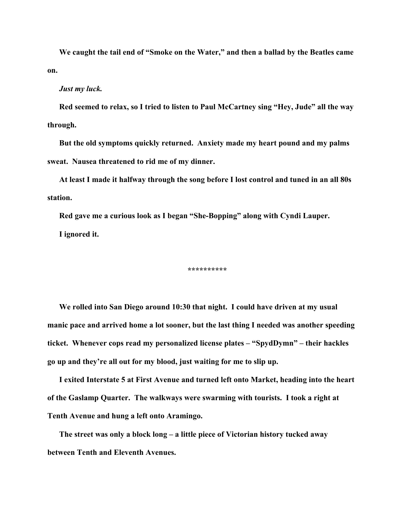**We caught the tail end of "Smoke on the Water," and then a ballad by the Beatles came on.** 

## *Just my luck.*

**Red seemed to relax, so I tried to listen to Paul McCartney sing "Hey, Jude" all the way through.** 

**But the old symptoms quickly returned. Anxiety made my heart pound and my palms sweat. Nausea threatened to rid me of my dinner.** 

**At least I made it halfway through the song before I lost control and tuned in an all 80s station.** 

**Red gave me a curious look as I began "She-Bopping" along with Cyndi Lauper. I ignored it.** 

**\*\*\*\*\*\*\*\*\*\*** 

**We rolled into San Diego around 10:30 that night. I could have driven at my usual manic pace and arrived home a lot sooner, but the last thing I needed was another speeding ticket. Whenever cops read my personalized license plates – "SpydDymn" – their hackles go up and they're all out for my blood, just waiting for me to slip up.** 

**I exited Interstate 5 at First Avenue and turned left onto Market, heading into the heart of the Gaslamp Quarter. The walkways were swarming with tourists. I took a right at Tenth Avenue and hung a left onto Aramingo.** 

**The street was only a block long – a little piece of Victorian history tucked away between Tenth and Eleventh Avenues.**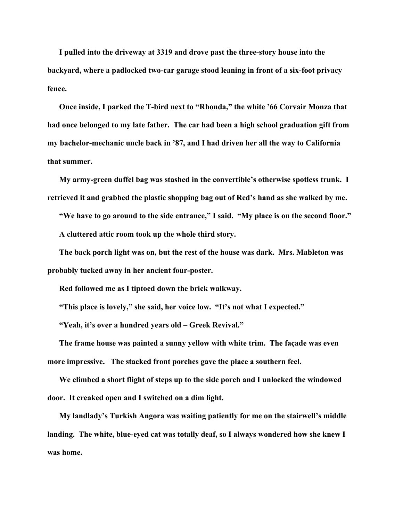**I pulled into the driveway at 3319 and drove past the three-story house into the backyard, where a padlocked two-car garage stood leaning in front of a six-foot privacy fence.** 

**Once inside, I parked the T-bird next to "Rhonda," the white '66 Corvair Monza that had once belonged to my late father. The car had been a high school graduation gift from my bachelor-mechanic uncle back in '87, and I had driven her all the way to California that summer.** 

**My army-green duffel bag was stashed in the convertible's otherwise spotless trunk. I retrieved it and grabbed the plastic shopping bag out of Red's hand as she walked by me.** 

**"We have to go around to the side entrance," I said. "My place is on the second floor." A cluttered attic room took up the whole third story.** 

**The back porch light was on, but the rest of the house was dark. Mrs. Mableton was probably tucked away in her ancient four-poster.** 

**Red followed me as I tiptoed down the brick walkway.** 

**"This place is lovely," she said, her voice low. "It's not what I expected."** 

**"Yeah, it's over a hundred years old – Greek Revival."** 

**The frame house was painted a sunny yellow with white trim. The façade was even more impressive. The stacked front porches gave the place a southern feel.** 

**We climbed a short flight of steps up to the side porch and I unlocked the windowed door. It creaked open and I switched on a dim light.** 

**My landlady's Turkish Angora was waiting patiently for me on the stairwell's middle landing. The white, blue-eyed cat was totally deaf, so I always wondered how she knew I was home.**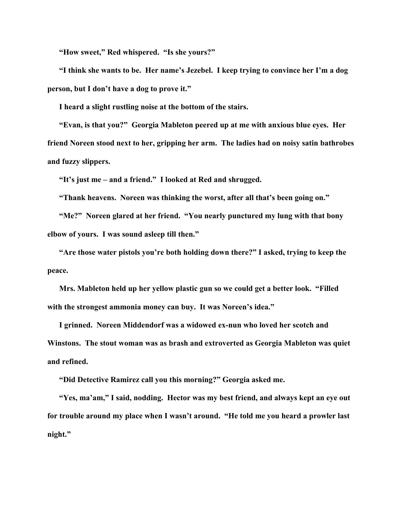**"How sweet," Red whispered. "Is she yours?"** 

**"I think she wants to be. Her name's Jezebel. I keep trying to convince her I'm a dog person, but I don't have a dog to prove it."** 

**I heard a slight rustling noise at the bottom of the stairs.** 

**"Evan, is that you?" Georgia Mableton peered up at me with anxious blue eyes. Her friend Noreen stood next to her, gripping her arm. The ladies had on noisy satin bathrobes and fuzzy slippers.** 

**"It's just me – and a friend." I looked at Red and shrugged.** 

**"Thank heavens. Noreen was thinking the worst, after all that's been going on."** 

**"Me?" Noreen glared at her friend. "You nearly punctured my lung with that bony elbow of yours. I was sound asleep till then."** 

**"Are those water pistols you're both holding down there?" I asked, trying to keep the peace.** 

**Mrs. Mableton held up her yellow plastic gun so we could get a better look. "Filled with the strongest ammonia money can buy. It was Noreen's idea."** 

**I grinned. Noreen Middendorf was a widowed ex-nun who loved her scotch and Winstons. The stout woman was as brash and extroverted as Georgia Mableton was quiet and refined.** 

**"Did Detective Ramirez call you this morning?" Georgia asked me.** 

**"Yes, ma'am," I said, nodding. Hector was my best friend, and always kept an eye out for trouble around my place when I wasn't around. "He told me you heard a prowler last night."**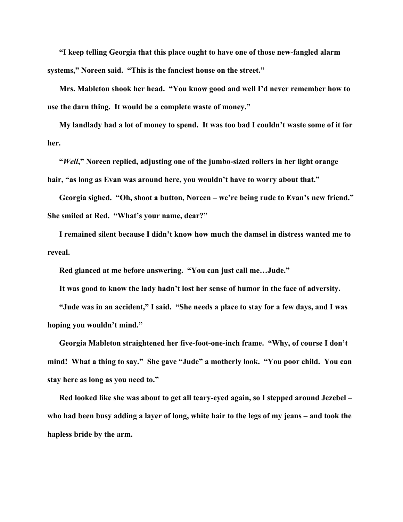**"I keep telling Georgia that this place ought to have one of those new-fangled alarm systems," Noreen said. "This is the fanciest house on the street."** 

**Mrs. Mableton shook her head. "You know good and well I'd never remember how to use the darn thing. It would be a complete waste of money."** 

**My landlady had a lot of money to spend. It was too bad I couldn't waste some of it for her.** 

**"***Well***," Noreen replied, adjusting one of the jumbo-sized rollers in her light orange hair, "as long as Evan was around here, you wouldn't have to worry about that."** 

**Georgia sighed. "Oh, shoot a button, Noreen – we're being rude to Evan's new friend." She smiled at Red. "What's your name, dear?"** 

**I remained silent because I didn't know how much the damsel in distress wanted me to reveal.** 

**Red glanced at me before answering. "You can just call me…Jude."** 

**It was good to know the lady hadn't lost her sense of humor in the face of adversity.** 

**"Jude was in an accident," I said. "She needs a place to stay for a few days, and I was hoping you wouldn't mind."** 

**Georgia Mableton straightened her five-foot-one-inch frame. "Why, of course I don't mind! What a thing to say." She gave "Jude" a motherly look. "You poor child. You can stay here as long as you need to."** 

**Red looked like she was about to get all teary-eyed again, so I stepped around Jezebel – who had been busy adding a layer of long, white hair to the legs of my jeans – and took the hapless bride by the arm.**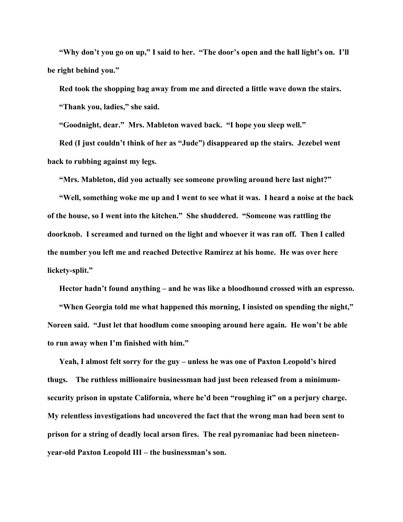**"Why don't you go on up," I said to her. "The door's open and the hall light's on. I'll be right behind you."** 

**Red took the shopping bag away from me and directed a little wave down the stairs. "Thank you, ladies," she said.** 

**"Goodnight, dear." Mrs. Mableton waved back. "I hope you sleep well."** 

**Red (I just couldn't think of her as "Jude") disappeared up the stairs. Jezebel went back to rubbing against my legs.** 

**"Mrs. Mableton, did you actually see someone prowling around here last night?"** 

**"Well, something woke me up and I went to see what it was. I heard a noise at the back of the house, so I went into the kitchen." She shuddered. "Someone was rattling the doorknob. I screamed and turned on the light and whoever it was ran off. Then I called the number you left me and reached Detective Ramirez at his home. He was over here lickety-split."** 

**Hector hadn't found anything – and he was like a bloodhound crossed with an espresso.** 

**"When Georgia told me what happened this morning, I insisted on spending the night," Noreen said. "Just let that hoodlum come snooping around here again. He won't be able to run away when I'm finished with him."** 

**Yeah, I almost felt sorry for the guy – unless he was one of Paxton Leopold's hired thugs. The ruthless millionaire businessman had just been released from a minimumsecurity prison in upstate California, where he'd been "roughing it" on a perjury charge. My relentless investigations had uncovered the fact that the wrong man had been sent to prison for a string of deadly local arson fires. The real pyromaniac had been nineteenyear-old Paxton Leopold III – the businessman's son.**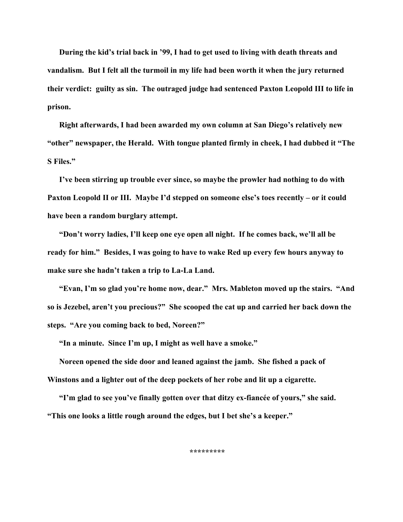**During the kid's trial back in '99, I had to get used to living with death threats and vandalism. But I felt all the turmoil in my life had been worth it when the jury returned their verdict: guilty as sin. The outraged judge had sentenced Paxton Leopold III to life in prison.** 

**Right afterwards, I had been awarded my own column at San Diego's relatively new "other" newspaper, the Herald. With tongue planted firmly in cheek, I had dubbed it "The S Files."** 

**I've been stirring up trouble ever since, so maybe the prowler had nothing to do with Paxton Leopold II or III. Maybe I'd stepped on someone else's toes recently – or it could have been a random burglary attempt.** 

**"Don't worry ladies, I'll keep one eye open all night. If he comes back, we'll all be ready for him." Besides, I was going to have to wake Red up every few hours anyway to make sure she hadn't taken a trip to La-La Land.** 

**"Evan, I'm so glad you're home now, dear." Mrs. Mableton moved up the stairs. "And so is Jezebel, aren't you precious?" She scooped the cat up and carried her back down the steps. "Are you coming back to bed, Noreen?"** 

**"In a minute. Since I'm up, I might as well have a smoke."** 

**Noreen opened the side door and leaned against the jamb. She fished a pack of Winstons and a lighter out of the deep pockets of her robe and lit up a cigarette.** 

**"I'm glad to see you've finally gotten over that ditzy ex-fiancée of yours," she said. "This one looks a little rough around the edges, but I bet she's a keeper."** 

**\*\*\*\*\*\*\*\*\***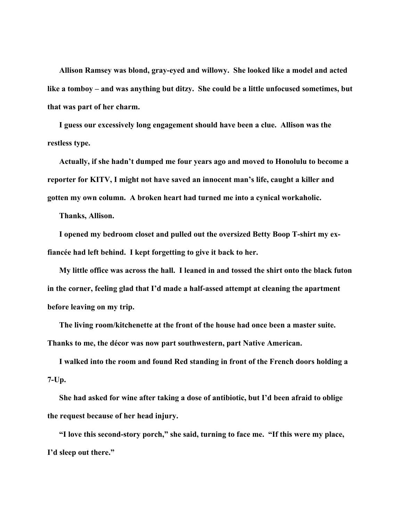**Allison Ramsey was blond, gray-eyed and willowy. She looked like a model and acted like a tomboy – and was anything but ditzy. She could be a little unfocused sometimes, but that was part of her charm.** 

**I guess our excessively long engagement should have been a clue. Allison was the restless type.** 

**Actually, if she hadn't dumped me four years ago and moved to Honolulu to become a reporter for KITV, I might not have saved an innocent man's life, caught a killer and gotten my own column. A broken heart had turned me into a cynical workaholic.** 

**Thanks, Allison.** 

**I opened my bedroom closet and pulled out the oversized Betty Boop T-shirt my exfiancée had left behind. I kept forgetting to give it back to her.** 

**My little office was across the hall. I leaned in and tossed the shirt onto the black futon in the corner, feeling glad that I'd made a half-assed attempt at cleaning the apartment before leaving on my trip.** 

**The living room/kitchenette at the front of the house had once been a master suite. Thanks to me, the décor was now part southwestern, part Native American.** 

**I walked into the room and found Red standing in front of the French doors holding a 7-Up.** 

**She had asked for wine after taking a dose of antibiotic, but I'd been afraid to oblige the request because of her head injury.** 

**"I love this second-story porch," she said, turning to face me. "If this were my place, I'd sleep out there."**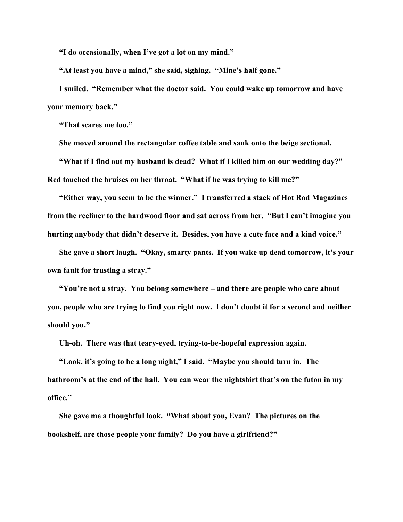**"I do occasionally, when I've got a lot on my mind."** 

**"At least you have a mind," she said, sighing. "Mine's half gone."** 

**I smiled. "Remember what the doctor said. You could wake up tomorrow and have your memory back."** 

**"That scares me too."** 

**She moved around the rectangular coffee table and sank onto the beige sectional.** 

**"What if I find out my husband is dead? What if I killed him on our wedding day?" Red touched the bruises on her throat. "What if he was trying to kill me?"** 

**"Either way, you seem to be the winner." I transferred a stack of Hot Rod Magazines from the recliner to the hardwood floor and sat across from her. "But I can't imagine you hurting anybody that didn't deserve it. Besides, you have a cute face and a kind voice."** 

**She gave a short laugh. "Okay, smarty pants. If you wake up dead tomorrow, it's your own fault for trusting a stray."** 

**"You're not a stray. You belong somewhere – and there are people who care about you, people who are trying to find you right now. I don't doubt it for a second and neither should you."** 

**Uh-oh. There was that teary-eyed, trying-to-be-hopeful expression again.** 

**"Look, it's going to be a long night," I said. "Maybe you should turn in. The bathroom's at the end of the hall. You can wear the nightshirt that's on the futon in my office."** 

**She gave me a thoughtful look. "What about you, Evan? The pictures on the bookshelf, are those people your family? Do you have a girlfriend?"**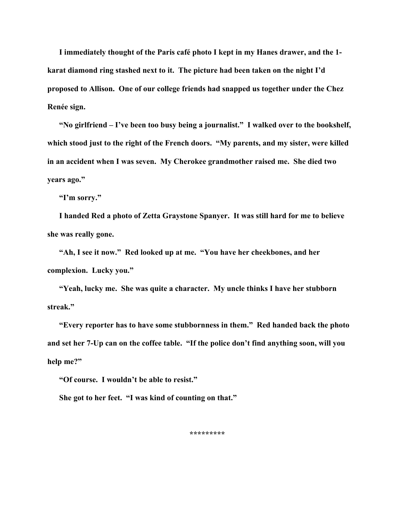**I immediately thought of the Paris café photo I kept in my Hanes drawer, and the 1 karat diamond ring stashed next to it. The picture had been taken on the night I'd proposed to Allison. One of our college friends had snapped us together under the Chez Renée sign.** 

**"No girlfriend – I've been too busy being a journalist." I walked over to the bookshelf, which stood just to the right of the French doors. "My parents, and my sister, were killed in an accident when I was seven. My Cherokee grandmother raised me. She died two years ago."** 

**"I'm sorry."** 

**I handed Red a photo of Zetta Graystone Spanyer. It was still hard for me to believe she was really gone.** 

**"Ah, I see it now." Red looked up at me. "You have her cheekbones, and her complexion. Lucky you."** 

**"Yeah, lucky me. She was quite a character. My uncle thinks I have her stubborn streak."** 

**"Every reporter has to have some stubbornness in them." Red handed back the photo and set her 7-Up can on the coffee table. "If the police don't find anything soon, will you help me?"** 

**"Of course. I wouldn't be able to resist."** 

**She got to her feet. "I was kind of counting on that."** 

**\*\*\*\*\*\*\*\*\***